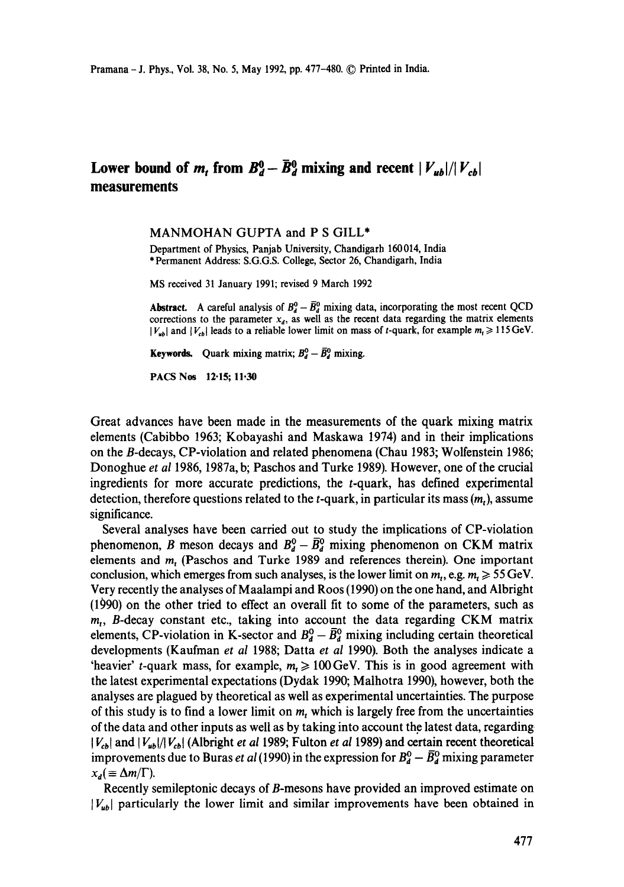## Lower bound of m, from  $B_d^0 - \bar{B}_d^0$  mixing and recent  $|V_{ub}|/|V_{cb}|$ **measurements**

## MANMOHAN GUPTA and P S GILL\*

Department of Physics, Panjab University, Chandigarh 160014, India \* Permanent Address: S.G.G.S. College, Sector 26, Chandigarh, India

MS received 31 January 1991; revised 9 March 1992

**Abstract.** A careful analysis of  $B_d^0 - \overline{B}_d^0$  mixing data, incorporating the most recent QCD corrections to the parameter  $x_d$ , as well as the recent data regarding the matrix elements  $|V_{ub}|$  and  $|V_{cb}|$  leads to a reliable lower limit on mass of t-quark, for example  $m_t \ge 115 \text{ GeV}$ .

**Keywords.** Quark mixing matrix;  $B_d^0 - \overline{B}_d^0$  mixing.

PACS Nos 12.15; 11,30

Great advances have been made in the measurements of the quark mixing matrix elements (Cabibbo 1963; Kobayashi and Maskawa 1974) and in their implications on the B-decays, CP-violation and related phenomena (Chau 1983; Wolfenstein 1986; Donoghue *et al* 1986, 1987a, b; Paschos and Turke 1989). However, one of the crucial ingredients for more accurate predictions, the  $t$ -quark, has defined experimental detection, therefore questions related to the  $t$ -quark, in particular its mass  $(m_t)$ , assume significance.

Several analyses have been carried out to study the implications of CP-violation phenomenon, B meson decays and  $B_d^0 - \overline{B}_d^0$  mixing phenomenon on CKM matrix elements and m, (Paschos and Turke 1989 and references therein). One important conclusion, which emerges from such analyses, is the lower limit on  $m_t$ , e.g.  $m_t \geq 55$  GeV. Very recently the analyses of Maalampi and Roos (1990) on the one hand, and Albright (1990) on the other tried to effect an overall fit to some of the parameters, such as  $m<sub>1</sub>$ , B-decay constant etc., taking into account the data regarding CKM matrix elements, CP-violation in K-sector and  $B_d^0 - \bar{B}_d^0$  mixing including certain theoretical developments (Kaufman *et al* 1988; Datta *et al* 1990). Both the analyses indicate a 'heavier' t-quark mass, for example,  $m_t \geq 100 \,\text{GeV}$ . This is in good agreement with the latest experimental expectations (Dydak 1990; Malhotra 1990), however, both the analyses are plagued by theoretical as well as experimental uncertainties. The purpose of this study is to find a lower limit on  $m$ , which is largely free from the uncertainties of the data and other inputs as well as by taking into account the latest data, regarding  $|V_{cb}|$  and  $|V_{ub}|/|V_{cb}|$  (Albright *et al 1989*; Fulton *et al 1989*) and certain recent theoretical improvements due to Buras *et al* (1990) in the expression for  $B_d^0 - \overline{B}_d^0$  mixing parameter  $x_d \equiv \Delta m/\Gamma$ ).

Recently semileptonic decays of B-mesons have provided an improved estimate on  $|V_{ub}|$  particularly the lower limit and similar improvements have been obtained in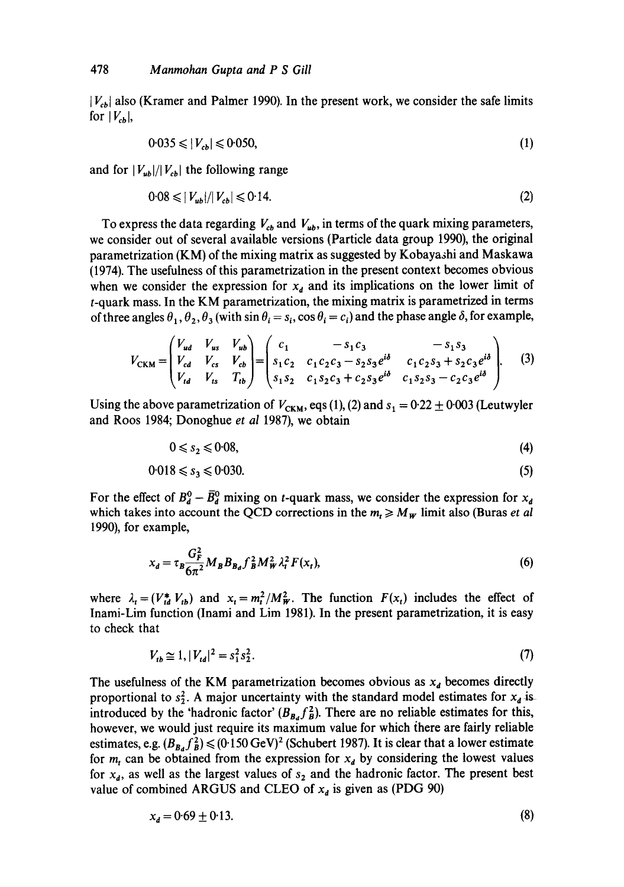$|V_{cb}|$  also (Kramer and Palmer 1990). In the present work, we consider the safe limits for  $|V_{cb}|$ ,

$$
0.035 \leq |V_{cb}| \leq 0.050,\tag{1}
$$

and for  $|V_{ub}|/|V_{cb}|$  the following range

$$
0.08 \leqslant |V_{ub}|/|V_{cb}| \leqslant 0.14. \tag{2}
$$

To express the data regarding  $V_{cb}$  and  $V_{ub}$ , in terms of the quark mixing parameters, we consider out of several available versions (Particle data group 1990), the original parametrization (KM) of the mixing matrix as suggested by Kobayashi and Maskawa (1974). The usefulness of this parametrization in the present context becomes obvious when we consider the expression for  $x_d$  and its implications on the lower limit of t-quark mass. In the KM parametrization, the mixing matrix is parametrized in terms of three angles  $\theta_1, \theta_2, \theta_3$  (with sin  $\theta_i = s_i$ , cos  $\theta_i = c_i$ ) and the phase angle  $\delta$ , for example,

$$
V_{CKM} = \begin{pmatrix} V_{ud} & V_{us} & V_{ub} \\ V_{cd} & V_{cs} & V_{cb} \\ V_{td} & V_{ts} & T_{tb} \end{pmatrix} = \begin{pmatrix} c_1 & -s_1 c_3 & -s_1 s_3 \\ s_1 c_2 & c_1 c_2 c_3 - s_2 s_3 e^{i\delta} & c_1 c_2 s_3 + s_2 c_3 e^{i\delta} \\ s_1 s_2 & c_1 s_2 c_3 + c_2 s_3 e^{i\delta} & c_1 s_2 s_3 - c_2 c_3 e^{i\delta} \end{pmatrix}.
$$
 (3)

Using the above parametrization of  $V_{CKM}$ , eqs (1), (2) and  $s_1 = 0.22 \pm 0.003$  (Leutwyler and Roos 1984; Donoghue *et al* 1987), we obtain

$$
0 \leq s_2 \leq 0.08,\tag{4}
$$

$$
0.018 \leqslant s_3 \leqslant 0.030. \tag{5}
$$

For the effect of  $B_d^0 - \bar{B}_d^0$  mixing on t-quark mass, we consider the expression for  $x_d$ which takes into account the QCD corrections in the  $m_t \ge M_w$  limit also (Buras *et al* 1990), for example,

$$
x_d = \tau_B \frac{G_F^2}{6\pi^2} M_B B_{B_d} f_B^2 M_W^2 \lambda_t^2 F(x_t),
$$
\n<sup>(6)</sup>

where  $\lambda_t = (V_{td}^* V_{tb})$  and  $x_t = m_t^2/M_W^2$ . The function  $F(x_t)$  includes the effect of Inami-Lim function (Inami and Lim 1981). In the present parametrization, it is easy to check that

$$
V_{tb} \cong 1, |V_{td}|^2 = s_1^2 s_2^2. \tag{7}
$$

The usefulness of the KM parametrization becomes obvious as  $x_d$  becomes directly proportional to  $s_2^2$ . A major uncertainty with the standard model estimates for  $x_d$  is introduced by the 'hadronic factor'  $(B_{B_d} f_B^2)$ . There are no reliable estimates for this, however, we would just require its maximum value for which there are fairly reliable estimates, e.g.  $(B_{B_d} f_B^2) \le (0.150 \,\text{GeV})^2$  (Schubert 1987). It is clear that a lower estimate for  $m_t$  can be obtained from the expression for  $x_d$  by considering the lowest values for  $x_d$ , as well as the largest values of  $s_2$  and the hadronic factor. The present best value of combined ARGUS and CLEO of  $x_d$  is given as (PDG 90)

$$
x_d = 0.69 \pm 0.13. \tag{8}
$$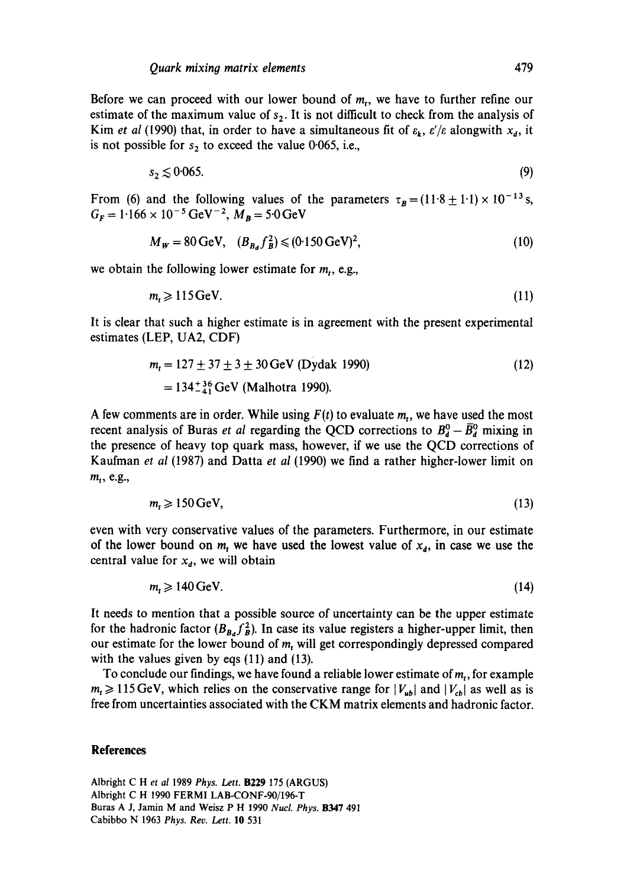Before we can proceed with our lower bound of  $m<sub>1</sub>$ , we have to further refine our estimate of the maximum value of  $s<sub>2</sub>$ . It is not difficult to check from the analysis of Kim *et al* (1990) that, in order to have a simultaneous fit of  $\varepsilon_k$ ,  $\varepsilon/\varepsilon$  alongwith  $x_d$ , it is not possible for  $s_2$  to exceed the value 0.065, i.e.,

$$
s_2 \lesssim 0.065. \tag{9}
$$

From (6) and the following values of the parameters  $\tau_B=(11.8 \pm 1.1)\times 10^{-13}$  s,  $G_F = 1.166 \times 10^{-5} \,\text{GeV}^{-2}$ ,  $M_B = 5.0 \,\text{GeV}$ 

$$
M_W = 80 \,\text{GeV}, \quad (B_{B_A} f_B^2) \le (0.150 \,\text{GeV})^2,\tag{10}
$$

we obtain the following lower estimate for  $m_t$ , e.g.,

$$
m_t \geqslant 115 \,\mathrm{GeV}.\tag{11}
$$

It is clear that such a higher estimate is in agreement with the present experimental estimates (LEP, UA2, CDF)

$$
m_t = 127 \pm 37 \pm 3 \pm 30 \,\text{GeV} \text{ (Dydak 1990)}
$$
  
= 134<sup>+36</sup>  $_{41}^{45}$  GeV (Malhotra 1990). (12)

A few comments are in order. While using  $F(t)$  to evaluate  $m_t$ , we have used the most recent analysis of Buras *et al* regarding the QCD corrections to  $B_d^0 - \overline{B}_d^0$  mixing in the presence of heavy top quark mass, however, if we use the QCD corrections of Kaufman *et al* (1987) and Datta *et al* (1990) we find a rather higher-lower limit on  $m_t$ , e.g.,

$$
m_t \geqslant 150 \,\mathrm{GeV},\tag{13}
$$

even with very conservative values of the parameters. Furthermore, in our estimate of the lower bound on  $m_t$  we have used the lowest value of  $x_d$ , in case we use the central value for  $x_d$ , we will obtain

$$
m_t \geqslant 140 \,\mathrm{GeV}.\tag{14}
$$

It needs to mention that a possible source of uncertainty can be the upper estimate for the hadronic factor  $(B_{B_d} f_B^2)$ . In case its value registers a higher-upper limit, then our estimate for the lower bound of  $m_t$ , will get correspondingly depressed compared with the values given by eqs (11) and (13).

To conclude our findings, we have found a reliable lower estimate of *mr,* for example  $m_t \ge 115 \text{ GeV}$ , which relies on the conservative range for  $|V_{ub}|$  and  $|V_{cb}|$  as well as is free from uncertainties associated with the CKM matrix elements and hadronic factor.

## **References**

Albright C Het *al* 1989 *Phys. Lett.* B229 175 (ARGUS) Albright C H 1990 FERMI LAB-CONF-90/196-T Buras A J, Jamin M and Weisz P H 1990 *Nucl. Phys.* B347 491 Cabibbo N 1963 *Phys. Rev. Lett.* 10 531